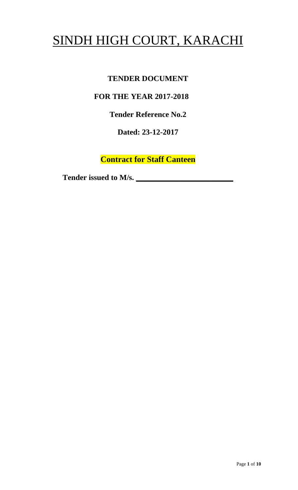# SINDH HIGH COURT, KARACHI

# **TENDER DOCUMENT**

# **FOR THE YEAR 2017-2018**

**Tender Reference No.2**

**Dated: 23-12-2017**

**Contract for Staff Canteen**

Tender issued to M/s.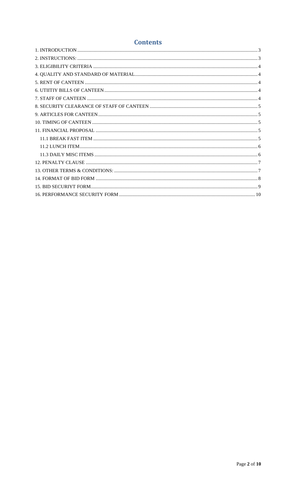# **Contents**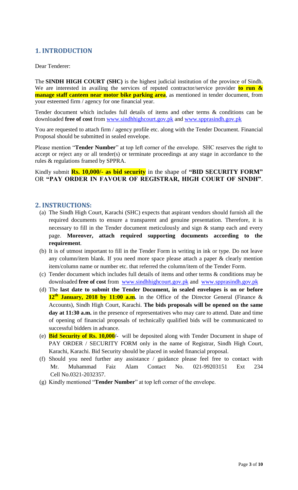## <span id="page-2-0"></span>**1. INTRODUCTION**

Dear Tenderer:

The **SINDH HIGH COURT (SHC)** is the highest judicial institution of the province of [Sindh.](https://en.wikipedia.org/wiki/Sindh) We are interested in availing the services of reputed contractor/service provider **to run & manage staff canteen near motor bike parking area**, as mentioned in tender document, from your esteemed firm / agency for one financial year.

Tender document which includes full details of items and other terms & conditions can be downloaded **free of cost** from [www.sindhhighcourt.gov.pk](http://www.sindhhighcourt.gov.pk/) and [www.spprasindh.gov.pk](http://www.spprasindh.gov.pk/)

You are requested to attach firm / agency profile etc. along with the Tender Document. Financial Proposal should be submitted in sealed envelope.

Please mention "**Tender Number**" at top left corner of the envelope. SHC reserves the right to accept or reject any or all tender(s) or terminate proceedings at any stage in accordance to the rules & regulations framed by SPPRA.

Kindly submit **Rs. 10,000/- as bid security** in the shape of **"BID SECURITY FORM"** OR **"PAY ORDER IN FAVOUR OF REGISTRAR, HIGH COURT OF SINDH"**.

#### <span id="page-2-1"></span>**2. INSTRUCTIONS:**

- (a) The Sindh High Court, Karachi (SHC) expects that aspirant vendors should furnish all the required documents to ensure a transparent and genuine presentation. Therefore, it is necessary to fill in the Tender document meticulously and sign & stamp each and every page. **Moreover, attach required supporting documents according to the requirement**.
- (b) It is of utmost important to fill in the Tender Form in writing in ink or type. Do not leave any column/item blank. If you need more space please attach a paper & clearly mention item/column name or number etc. that referred the column/item of the Tender Form.
- (c) Tender document which includes full details of items and other terms & conditions may be downloaded **free of cost** from [www.sindhhighcourt.gov.pk](http://www.sindhhighcourt.gov.pk/) and [www.spprasindh.gov.pk](http://www.spprasindh.gov.pk/)
- (d) The **last date to submit the Tender Document, in sealed envelopes is on or before 12th January, 2018 by 11:00 a.m.** in the Office of the Director General (Finance & Accounts), Sindh High Court, Karachi. **The bids proposals will be opened on the same day at 11:30 a.m.** in the presence of representatives who may care to attend. Date and time of opening of financial proposals of technically qualified bids will be communicated to successful bidders in advance.
- (e) **Bid Security of Rs. 10,000/-** will be deposited along with Tender Document in shape of PAY ORDER / SECURITY FORM only in the name of Registrar, Sindh High Court, Karachi, Karachi. Bid Security should be placed in sealed financial proposal.
- (f) Should you need further any assistance / guidance please feel free to contact with Mr. Muhammad Faiz Alam Contact No. 021-99203151 Ext 234 Cell No.0321-2032357.
- (g) Kindly mentioned "**Tender Number**" at top left corner of the envelope.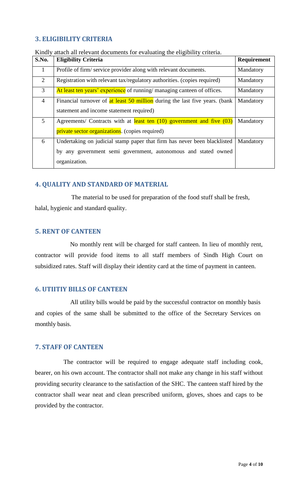# <span id="page-3-0"></span>**3. ELIGIBILITY CRITERIA**

| S.No.          | <b>Eligibility Criteria</b>                                                 | Requirement |
|----------------|-----------------------------------------------------------------------------|-------------|
| $\mathbf{1}$   | Profile of firm/ service provider along with relevant documents.            | Mandatory   |
| 2              | Registration with relevant tax/regulatory authorities. (copies required)    | Mandatory   |
| 3              | At least ten years' experience of running/ managing canteen of offices.     | Mandatory   |
| $\overline{4}$ | Financial turnover of at least 50 million during the last five years. (bank | Mandatory   |
|                | statement and income statement required)                                    |             |
| 5              | Agreements/ Contracts with at least ten (10) government and five (03)       | Mandatory   |
|                | private sector organizations. (copies required)                             |             |
| 6              | Undertaking on judicial stamp paper that firm has never been blacklisted    | Mandatory   |
|                | by any government semi government, autonomous and stated owned              |             |
|                | organization.                                                               |             |

## <span id="page-3-1"></span>**4. QUALITY AND STANDARD OF MATERIAL**

 The material to be used for preparation of the food stuff shall be fresh, halal, hygienic and standard quality.

#### <span id="page-3-2"></span>**5. RENT OF CANTEEN**

No monthly rent will be charged for staff canteen. In lieu of monthly rent, contractor will provide food items to all staff members of Sindh High Court on subsidized rates. Staff will display their identity card at the time of payment in canteen.

#### <span id="page-3-3"></span>**6. UTIITIY BILLS OF CANTEEN**

 All utility bills would be paid by the successful contractor on monthly basis and copies of the same shall be submitted to the office of the Secretary Services on monthly basis.

#### <span id="page-3-4"></span>**7. STAFF OF CANTEEN**

 The contractor will be required to engage adequate staff including cook, bearer, on his own account. The contractor shall not make any change in his staff without providing security clearance to the satisfaction of the SHC. The canteen staff hired by the contractor shall wear neat and clean prescribed uniform, gloves, shoes and caps to be provided by the contractor.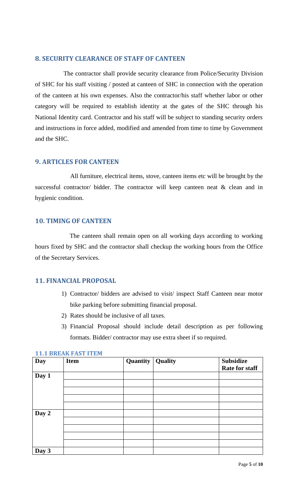#### <span id="page-4-0"></span>**8. SECURITY CLEARANCE OF STAFF OF CANTEEN**

 The contractor shall provide security clearance from Police/Security Division of SHC for his staff visiting / posted at canteen of SHC in connection with the operation of the canteen at his own expenses. Also the contractor/his staff whether labor or other category will be required to establish identity at the gates of the SHC through his National Identity card. Contractor and his staff will be subject to standing security orders and instructions in force added, modified and amended from time to time by Government and the SHC.

## <span id="page-4-1"></span>**9. ARTICLES FOR CANTEEN**

 All furniture, electrical items, stove, canteen items etc will be brought by the successful contractor/ bidder. The contractor will keep canteen neat  $\&$  clean and in hygienic condition.

## <span id="page-4-2"></span>**10. TIMING OF CANTEEN**

 The canteen shall remain open on all working days according to working hours fixed by SHC and the contractor shall checkup the working hours from the Office of the Secretary Services.

# <span id="page-4-3"></span>**11. FINANCIAL PROPOSAL**

- 1) Contractor/ bidders are advised to visit/ inspect Staff Canteen near motor bike parking before submitting financial proposal.
- 2) Rates should be inclusive of all taxes.
- 3) Financial Proposal should include detail description as per following formats. Bidder/ contractor may use extra sheet if so required.

| <b>Day</b> | <b>Item</b> | Quantity | Quality | <b>Subsidize</b><br><b>Rate for staff</b> |
|------------|-------------|----------|---------|-------------------------------------------|
| Day 1      |             |          |         |                                           |
|            |             |          |         |                                           |
|            |             |          |         |                                           |
|            |             |          |         |                                           |
|            |             |          |         |                                           |
| Day 2      |             |          |         |                                           |
|            |             |          |         |                                           |
|            |             |          |         |                                           |
|            |             |          |         |                                           |
|            |             |          |         |                                           |
| Day $3$    |             |          |         |                                           |

#### <span id="page-4-4"></span>**11.1 BREAK FAST ITEM**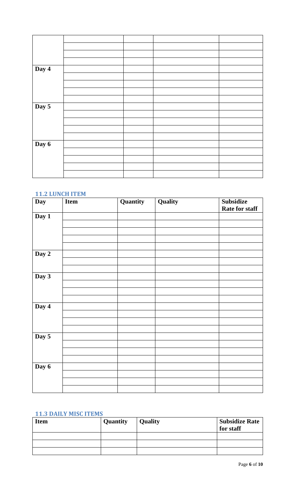| Day 4 |  |  |
|-------|--|--|
|       |  |  |
|       |  |  |
|       |  |  |
|       |  |  |
| Day 5 |  |  |
|       |  |  |
|       |  |  |
|       |  |  |
|       |  |  |
| Day 6 |  |  |
|       |  |  |
|       |  |  |
|       |  |  |
|       |  |  |

# <span id="page-5-0"></span>**11.2 LUNCH ITEM**

| Day   | Item | Quantity | Quality | <b>Subsidize</b> |  |  |
|-------|------|----------|---------|------------------|--|--|
|       |      |          |         | Rate for staff   |  |  |
| Day 1 |      |          |         |                  |  |  |
|       |      |          |         |                  |  |  |
|       |      |          |         |                  |  |  |
|       |      |          |         |                  |  |  |
|       |      |          |         |                  |  |  |
| Day 2 |      |          |         |                  |  |  |
|       |      |          |         |                  |  |  |
|       |      |          |         |                  |  |  |
| Day 3 |      |          |         |                  |  |  |
|       |      |          |         |                  |  |  |
|       |      |          |         |                  |  |  |
|       |      |          |         |                  |  |  |
| Day 4 |      |          |         |                  |  |  |
|       |      |          |         |                  |  |  |
|       |      |          |         |                  |  |  |
|       |      |          |         |                  |  |  |
| Day 5 |      |          |         |                  |  |  |
|       |      |          |         |                  |  |  |
|       |      |          |         |                  |  |  |
|       |      |          |         |                  |  |  |
| Day 6 |      |          |         |                  |  |  |
|       |      |          |         |                  |  |  |
|       |      |          |         |                  |  |  |
|       |      |          |         |                  |  |  |

#### <span id="page-5-1"></span>**11.3 DAILY MISC ITEMS**

| <b>Item</b> | Quantity | <b>Quality</b> | <b>Subsidize Rate</b><br>for staff |
|-------------|----------|----------------|------------------------------------|
|             |          |                |                                    |
|             |          |                |                                    |
|             |          |                |                                    |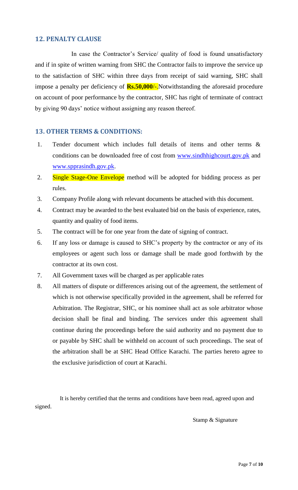#### <span id="page-6-0"></span>**12. PENALTY CLAUSE**

 In case the Contractor's Service/ quality of food is found unsatisfactory and if in spite of written warning from SHC the Contractor fails to improve the service up to the satisfaction of SHC within three days from receipt of said warning, SHC shall impose a penalty per deficiency of **Rs.50,000**/-.Notwithstanding the aforesaid procedure on account of poor performance by the contractor, SHC has right of terminate of contract by giving 90 days' notice without assigning any reason thereof.

#### <span id="page-6-1"></span>**13. OTHER TERMS & CONDITIONS:**

- 1. Tender document which includes full details of items and other terms & conditions can be downloaded free of cost from [www.sindhhighcourt.gov.pk](http://www.sindhhighcourt.gov.pk/) and [www.spprasindh.gov.pk.](http://www.spprasindh.gov.pk/)
- 2. Single Stage-One Envelope method will be adopted for bidding process as per rules.
- 3. Company Profile along with relevant documents be attached with this document.
- 4. Contract may be awarded to the best evaluated bid on the basis of experience, rates, quantity and quality of food items.
- 5. The contract will be for one year from the date of signing of contract.
- 6. If any loss or damage is caused to SHC's property by the contractor or any of its employees or agent such loss or damage shall be made good forthwith by the contractor at its own cost.
- 7. All Government taxes will be charged as per applicable rates
- 8. All matters of dispute or differences arising out of the agreement, the settlement of which is not otherwise specifically provided in the agreement, shall be referred for Arbitration. The Registrar, SHC, or his nominee shall act as sole arbitrator whose decision shall be final and binding. The services under this agreement shall continue during the proceedings before the said authority and no payment due to or payable by SHC shall be withheld on account of such proceedings. The seat of the arbitration shall be at SHC Head Office Karachi. The parties hereto agree to the exclusive jurisdiction of court at Karachi.

 It is hereby certified that the terms and conditions have been read, agreed upon and signed.

Stamp & Signature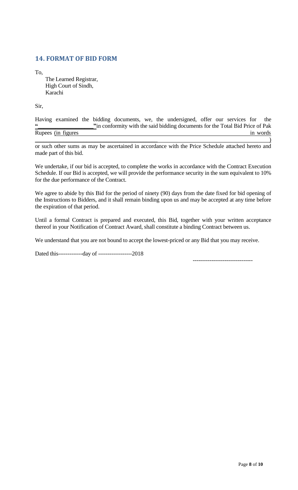# <span id="page-7-0"></span>**14. FORMAT OF BID FORM**

To,

The Learned Registrar, High Court of Sindh, Karachi

Sir,

|                     |  |  | Having examined the bidding documents, we, the undersigned, offer our services for the |  |  |          |
|---------------------|--|--|----------------------------------------------------------------------------------------|--|--|----------|
|                     |  |  | "in conformity with the said bidding documents for the Total Bid Price of Pak          |  |  |          |
| Rupees (in figures) |  |  |                                                                                        |  |  | in words |
|                     |  |  |                                                                                        |  |  |          |

or such other sums as may be ascertained in accordance with the Price Schedule attached hereto and made part of this bid.

We undertake, if our bid is accepted, to complete the works in accordance with the Contract Execution Schedule. If our Bid is accepted, we will provide the performance security in the sum equivalent to 10% for the due performance of the Contract.

We agree to abide by this Bid for the period of ninety (90) days from the date fixed for bid opening of the Instructions to Bidders, and it shall remain binding upon us and may be accepted at any time before the expiration of that period.

Until a formal Contract is prepared and executed, this Bid, together with your written acceptance thereof in your Notification of Contract Award, shall constitute a binding Contract between us.

We understand that you are not bound to accept the lowest-priced or any Bid that you may receive.

Dated this-------------day of ------------------2018

--------------------------------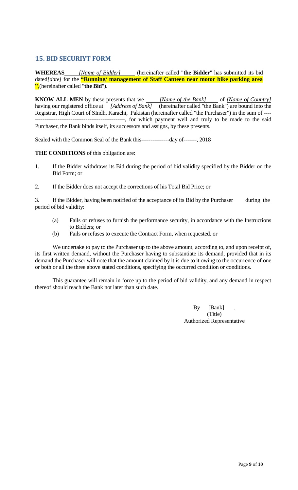# <span id="page-8-0"></span>**15. BID SECURIYT FORM**

**WHEREAS** *[Name of Bidder]* (hereinafter called "**the Bidder**" has submitted its bid dated*[date]* for the **"Running/ management of Staff Canteen near motor bike parking area "**,(hereinafter called "**the Bid**").

**KNOW ALL MEN** by these presents that we *[Name of the Bank]* of *[Name of Country]* having our registered office at *[Address of Bank]* (hereinafter called "the Bank") are bound into the Registrar, High Court of SIndh, Karachi, Pakistan (hereinafter called "the Purchaser") in the sum of ---- ------------------------------------------------, for which payment well and truly to be made to the said Purchaser, the Bank binds itself, its successors and assigns, by these presents.

Sealed with the Common Seal of the Bank this---------------day of-------, 2018

**THE CONDITIONS** of this obligation are:

- 1. If the Bidder withdraws its Bid during the period of bid validity specified by the Bidder on the Bid Form; or
- 2. If the Bidder does not accept the corrections of his Total Bid Price; or

3. If the Bidder, having been notified of the acceptance of its Bid by the Purchaser during the period of bid validity:

- (a) Fails or refuses to furnish the performance security, in accordance with the Instructions to Bidders; or
- (b) Fails or refuses to execute the Contract Form, when requested. or

We undertake to pay to the Purchaser up to the above amount, according to, and upon receipt of, its first written demand, without the Purchaser having to substantiate its demand, provided that in its demand the Purchaser will note that the amount claimed by it is due to it owing to the occurrence of one or both or all the three above stated conditions, specifying the occurred condition or conditions.

This guarantee will remain in force up to the period of bid validity, and any demand in respect thereof should reach the Bank not later than such date.

> By [Bank] (Title) Authorized Representative